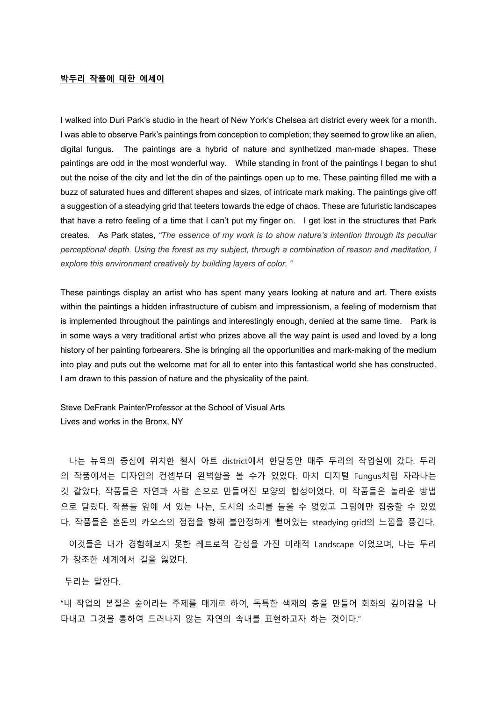## **박두리 작품에 대한 에세이**

I walked into Duri Park's studio in the heart of New York's Chelsea art district every week for a month. I was able to observe Park's paintings from conception to completion; they seemed to grow like an alien, digital fungus. The paintings are a hybrid of nature and synthetized man-made shapes. These paintings are odd in the most wonderful way. While standing in front of the paintings I began to shut out the noise of the city and let the din of the paintings open up to me. These painting filled me with a buzz of saturated hues and different shapes and sizes, of intricate mark making. The paintings give off a suggestion of a steadying grid that teeters towards the edge of chaos. These are futuristic landscapes that have a retro feeling of a time that I can't put my finger on. I get lost in the structures that Park creates. As Park states, *"The essence of my work is to show nature's intention through its peculiar perceptional depth. Using the forest as my subject, through a combination of reason and meditation, I explore this environment creatively by building layers of color. "*

These paintings display an artist who has spent many years looking at nature and art. There exists within the paintings a hidden infrastructure of cubism and impressionism, a feeling of modernism that is implemented throughout the paintings and interestingly enough, denied at the same time. Park is in some ways a very traditional artist who prizes above all the way paint is used and loved by a long history of her painting forbearers. She is bringing all the opportunities and mark-making of the medium into play and puts out the welcome mat for all to enter into this fantastical world she has constructed. I am drawn to this passion of nature and the physicality of the paint.

Steve DeFrank Painter/Professor at the School of Visual Arts Lives and works in the Bronx, NY

나는 뉴욕의 중심에 위치한 첼시 아트 district에서 한달동안 매주 두리의 작업실에 갔다. 두리 의 작품에서는 디자인의 컨셉부터 완벽함을 볼 수가 있었다. 마치 디지털 Fungus처럼 자라나는 것 같았다. 작품들은 자연과 사람 손으로 만들어진 모양의 합성이었다. 이 작품들은 놀라운 방법 으로 달랐다. 작품들 앞에 서 있는 나는, 도시의 소리를 들을 수 없었고 그림에만 집중할 수 있었 다. 작품들은 혼돈의 카오스의 정점을 향해 불안정하게 뻗어있는 steadying grid의 느낌을 풍긴다.

이것들은 내가 경험해보지 못한 레트로적 감성을 가진 미래적 Landscape 이었으며, 나는 두리 가 창조한 세계에서 길을 잃었다.

두리는 말한다.

"내 작업의 본질은 숲이라는 주제를 매개로 하여, 독특한 색채의 층을 만들어 회화의 깊이감을 나 타내고 그것을 통하여 드러나지 않는 자연의 속내를 표현하고자 하는 것이다."